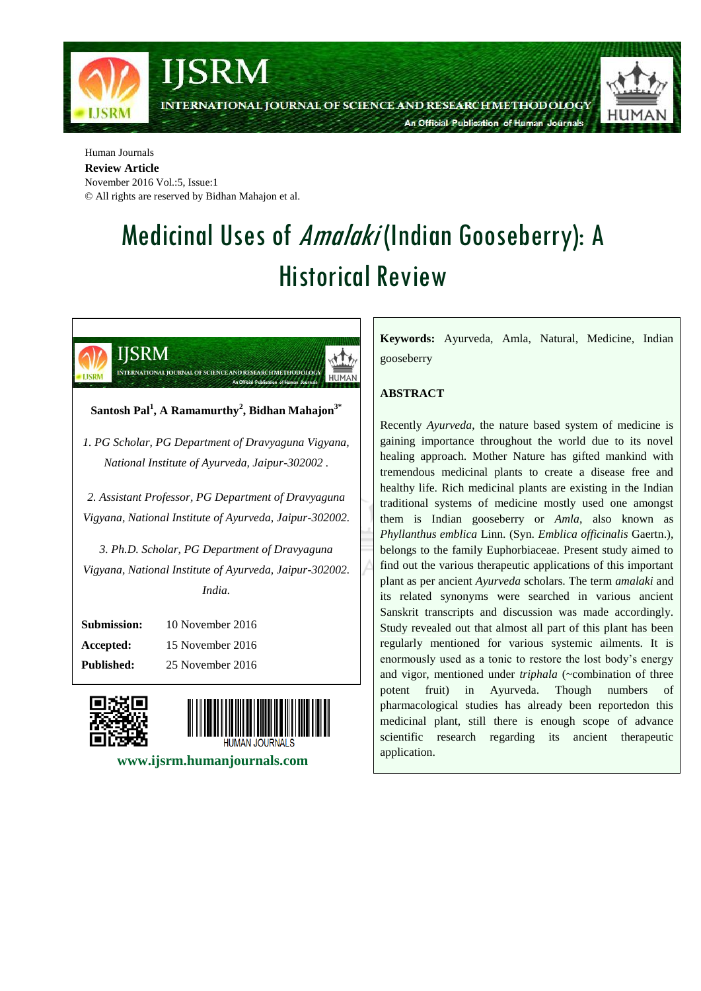

#### Human Journals **Review Article**

November 2016 Vol.:5, Issue:1 © All rights are reserved by Bidhan Mahajon et al.

# Medicinal Uses of Amalaki (Indian Gooseberry): A Historical Review



*Vigyana, National Institute of Ayurveda, Jaipur-302002. India.*

| Submission:       | 10 November 2016 |
|-------------------|------------------|
| Accepted:         | 15 November 2016 |
| <b>Published:</b> | 25 November 2016 |





 **www.ijsrm.humanjournals.com**

**Keywords:** Ayurveda, Amla, Natural, Medicine, Indian gooseberry

## **ABSTRACT**

Recently *Ayurveda*, the nature based system of medicine is gaining importance throughout the world due to its novel healing approach. Mother Nature has gifted mankind with tremendous medicinal plants to create a disease free and healthy life. Rich medicinal plants are existing in the Indian traditional systems of medicine mostly used one amongst them is Indian gooseberry or *Amla*, also known as *Phyllanthus emblica* Linn. (Syn. *Emblica officinalis* Gaertn.), belongs to the family Euphorbiaceae. Present study aimed to find out the various therapeutic applications of this important plant as per ancient *Ayurveda* scholars. The term *amalaki* and its related synonyms were searched in various ancient Sanskrit transcripts and discussion was made accordingly. Study revealed out that almost all part of this plant has been regularly mentioned for various systemic ailments. It is enormously used as a tonic to restore the lost body's energy and vigor, mentioned under *triphala* (~combination of three potent fruit) in Ayurveda. Though numbers pharmacological studies has already been reportedon this medicinal plant, still there is enough scope of advance scientific research regarding its ancient therapeutic application.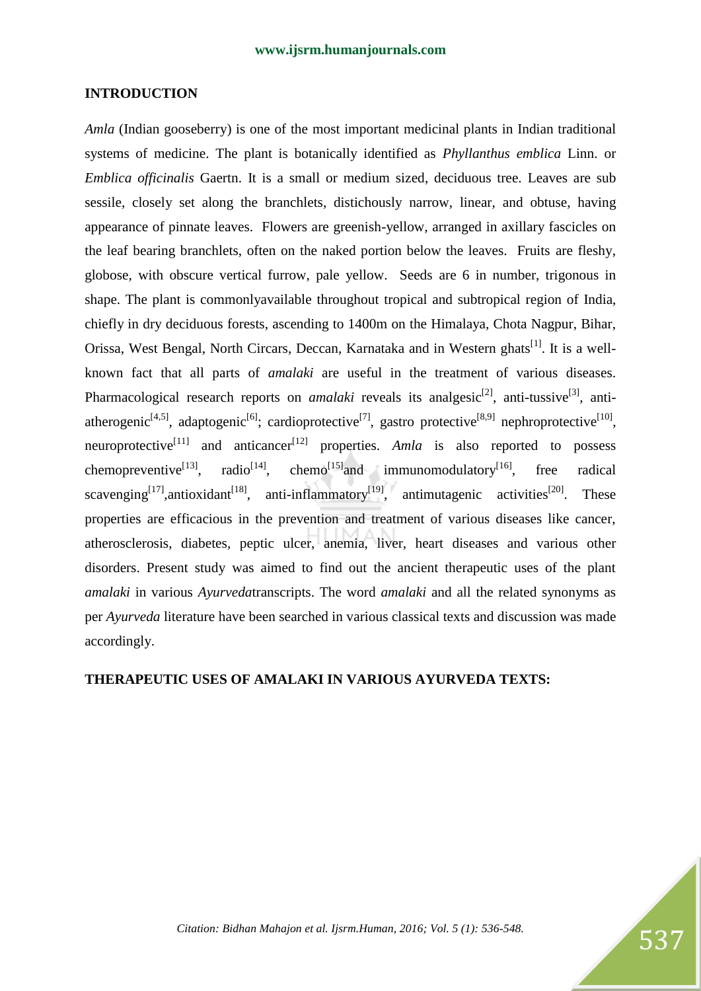#### **INTRODUCTION**

*Amla* (Indian gooseberry) is one of the most important medicinal plants in Indian traditional systems of medicine. The plant is botanically identified as *Phyllanthus emblica* Linn. or *Emblica officinalis* Gaertn. It is a small or medium sized, deciduous tree. Leaves are sub sessile, closely set along the branchlets, distichously narrow, linear, and obtuse, having appearance of pinnate leaves. Flowers are greenish-yellow, arranged in axillary fascicles on the leaf bearing branchlets, often on the naked portion below the leaves. Fruits are fleshy, globose, with obscure vertical furrow, pale yellow. Seeds are 6 in number, trigonous in shape. The plant is commonlyavailable throughout tropical and subtropical region of India, chiefly in dry deciduous forests, ascending to 1400m on the Himalaya, Chota Nagpur, Bihar, Orissa, West Bengal, North Circars, Deccan, Karnataka and in Western ghats<sup>[1]</sup>. It is a wellknown fact that all parts of *amalaki* are useful in the treatment of various diseases. Pharmacological research reports on *amalaki* reveals its analgesic<sup>[2]</sup>, anti-tussive<sup>[3]</sup>, antiatherogenic<sup>[4,5]</sup>, adaptogenic<sup>[6]</sup>; cardioprotective<sup>[7]</sup>, gastro protective<sup>[8,9]</sup> nephroprotective<sup>[10]</sup>, neuroprotective<sup>[11]</sup> and anticancer<sup>[12]</sup> properties. *Amla* is also reported to possess chemopreventive<sup>[13]</sup>, radio<sup>[14]</sup>, chemo<sup>[15]</sup>and immunomodulatory<sup>[16]</sup>, free radical scavenging<sup>[17]</sup>,antioxidant<sup>[18]</sup>, anti-inflammatory<sup>[19]</sup>, antimutagenic activities<sup>[20]</sup>. These properties are efficacious in the prevention and treatment of various diseases like cancer, atherosclerosis, diabetes, peptic ulcer, anemia, liver, heart diseases and various other disorders. Present study was aimed to find out the ancient therapeutic uses of the plant *amalaki* in various *Ayurveda*transcripts. The word *amalaki* and all the related synonyms as per *Ayurveda* literature have been searched in various classical texts and discussion was made accordingly.

#### **THERAPEUTIC USES OF AMALAKI IN VARIOUS AYURVEDA TEXTS:**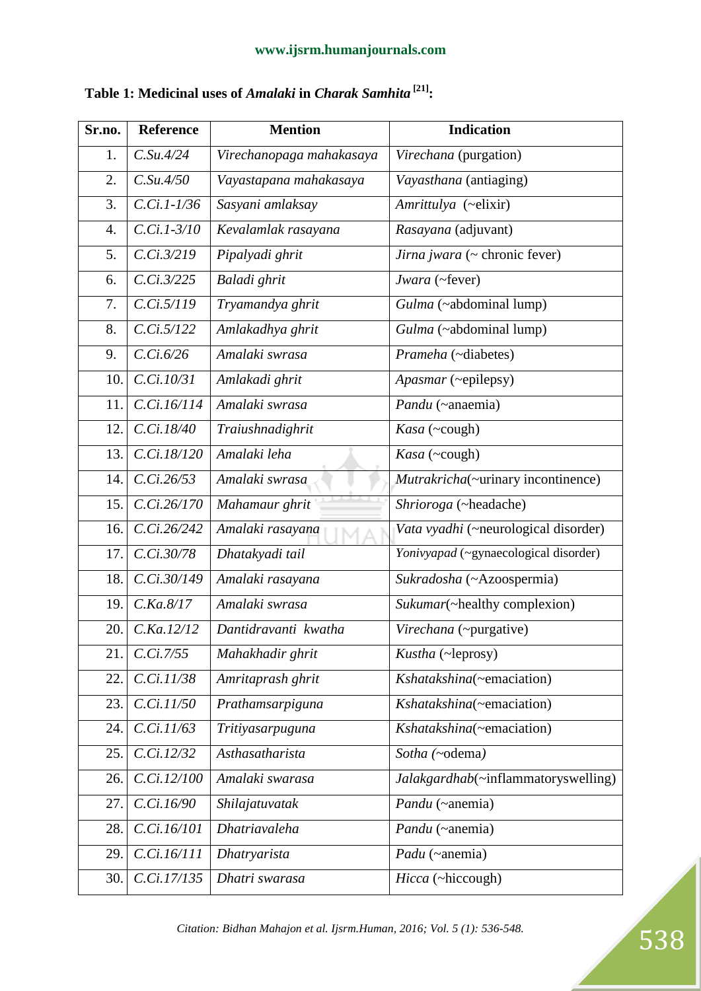| Sr.no.           | <b>Reference</b>          | <b>Mention</b>           | <b>Indication</b>                     |
|------------------|---------------------------|--------------------------|---------------------------------------|
| 1.               | $C.$ Su.4/24              | Virechanopaga mahakasaya | Virechana (purgation)                 |
| 2.               | C.Su.4/50                 | Vayastapana mahakasaya   | Vayasthana (antiaging)                |
| 3.               | $\overline{C.Ci.1}$ -1/36 | Sasyani amlaksay         | Amrittulya (~elixir)                  |
| $\overline{4}$ . | $C.Ci.1-3/10$             | Kevalamlak rasayana      | Rasayana (adjuvant)                   |
| 5.               | C.Ci.3/219                | Pipalyadi ghrit          | Jirna jwara (~ chronic fever)         |
| 6.               | $C_{1}$ . $3/225$         | Baladi ghrit             | Jwara (~fever)                        |
| 7.               | C.Ci.5/119                | Tryamandya ghrit         | Gulma (~abdominal lump)               |
| 8.               | C.Ci.5/122                | Amlakadhya ghrit         | Gulma (~abdominal lump)               |
| 9.               | C.Ci.6/26                 | Amalaki swrasa           | Prameha (~diabetes)                   |
| 10.              | C.Ci.10/31                | Amlakadi ghrit           | Apasmar (~epilepsy)                   |
| 11.              | C.Ci.16/114               | Amalaki swrasa           | Pandu (~anaemia)                      |
| 12.              | C.Ci.18/40                | Traiushnadighrit         | Kasa (~cough)                         |
| 13.              | C.Ci.18/120               | Amalaki leha             | Kasa (~cough)                         |
| 14.              | C.Ci.26/53                | Amalaki swrasa           | Mutrakricha(~urinary incontinence)    |
| 15.              | C.Ci.26/170               | Mahamaur ghrit           | Shrioroga (~headache)                 |
| 16.              | C.Ci.26/242               | Amalaki rasayana         | Vata vyadhi (~neurological disorder)  |
| 17.              | C.Ci.30/78                | Dhatakyadi tail          | Yonivyapad (~gynaecological disorder) |
| 18.              | C.Ci.30/149               | Amalaki rasayana         | Sukradosha (~Azoospermia)             |
| 19.              | $C$ .Ka. $8/17$           | Amalaki swrasa           | Sukumar(~healthy complexion)          |
| 20.              | C.Ka.12/12                | Dantidravanti kwatha     | Virechana (~purgative)                |
| 21.              | C.Ci.7/55                 | Mahakhadir ghrit         | Kustha (~leprosy)                     |
| 22.              | C.Ci.11/38                | Amritaprash ghrit        | Kshatakshina(~emaciation)             |
| 23.              | C.Ci.11/50                | Prathamsarpiguna         | Kshatakshina(~emaciation)             |
| 24.              | C.Ci.11/63                | Tritiyasarpuguna         | Kshatakshina(~emaciation)             |
| 25.              | C.Ci.12/32                | Asthasatharista          | Sotha (~odema)                        |
| 26.              | C.Ci.12/100               | Amalaki swarasa          | Jalakgardhab(~inflammatoryswelling)   |
| 27.              | C.Ci.16/90                | Shilajatuvatak           | Pandu (~anemia)                       |
| 28.              | C.Ci.16/101               | Dhatriavaleha            | Pandu (~anemia)                       |
| 29.              | C.Ci.16/111               | Dhatryarista             | Padu (~anemia)                        |
| 30.              | C.Ci.17/135               | Dhatri swarasa           | Hicca (~hiccough)                     |

# **Table 1: Medicinal uses of** *Amalaki* **in** *Charak Samhita* **[21]:**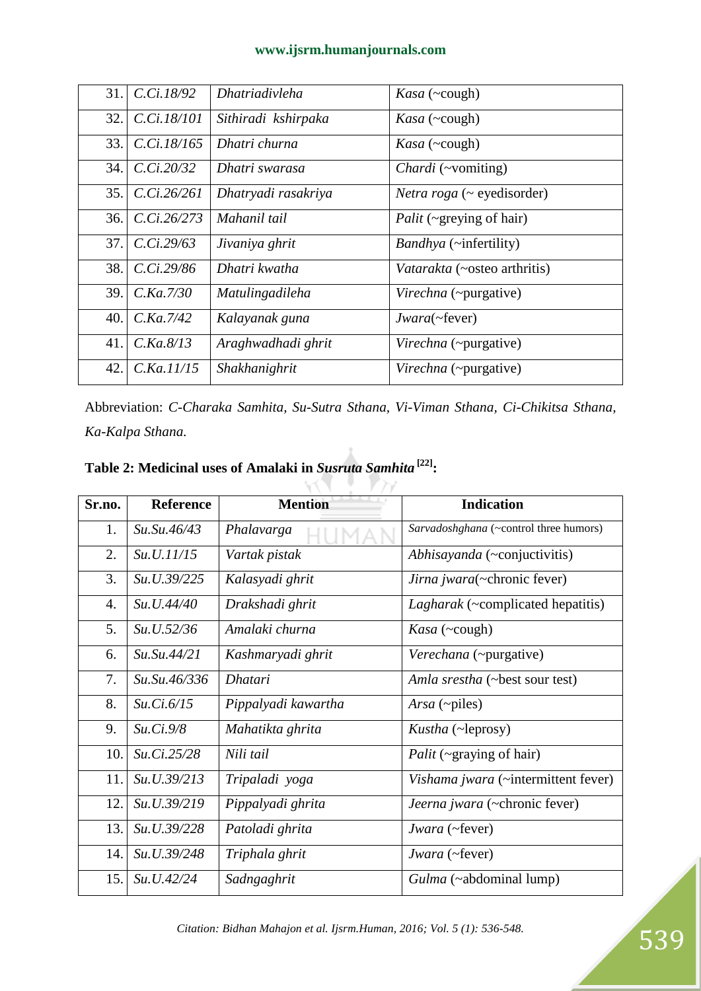| 31. | C.Ci.18/92       | <b>Dhatriadivleha</b> | <i>Kasa</i> ( $\sim$ cough)             |
|-----|------------------|-----------------------|-----------------------------------------|
| 32. | C.Ci.18/101      | Sithiradi kshirpaka   | <i>Kasa</i> ( $\sim$ cough)             |
| 33. | C.Ci.18/165      | Dhatri churna         | <i>Kasa</i> ( $\sim$ cough)             |
| 34. | $C_{120/32}$     | Dhatri swarasa        | <i>Chardi</i> (~vomiting)               |
| 35. | C.Ci.26/261      | Dhatryadi rasakriya   | <i>Netra roga</i> ( $\sim$ eyedisorder) |
| 36. | $C_{126/273}$    | Mahanil tail          | Palit (~greying of hair)                |
| 37. | $C_{1}$ Ci.29/63 | Jivaniya ghrit        | Bandhya (~infertility)                  |
| 38. | $C_{1}$ .29/86   | Dhatri kwatha         | Vatarakta (~osteo arthritis)            |
| 39. | C.Ka.7/30        | Matulingadileha       | Virechna (~purgative)                   |
| 40. | $C$ .Ka.7/42     | Kalayanak guna        | Jwara(~fever)                           |
| 41. | $C$ .Ka. $8/13$  | Araghwadhadi ghrit    | Virechna (~purgative)                   |
| 42. | C.Ka.11/15       | Shakhanighrit         | Virechna (~purgative)                   |

Abbreviation: *C-Charaka Samhita, Su-Sutra Sthana, Vi-Viman Sthana, Ci-Chikitsa Sthana, Ka-Kalpa Sthana.*

v

アジ

| Sr.no. | <b>Reference</b> | <b>Mention</b>      | <b>Indication</b>                        |
|--------|------------------|---------------------|------------------------------------------|
| 1.     | Su.Su.46/43      | Phalavarga          | Sarvadoshghana (~control three humors)   |
| 2.     | Su.U.11/15       | Vartak pistak       | Abhisayanda (~conjuctivitis)             |
| 3.     | Su.U.39/225      | Kalasyadi ghrit     | Jirna jwara(~chronic fever)              |
| 4.     | Su.U.44/40       | Drakshadi ghrit     | <i>Lagharak</i> (~complicated hepatitis) |
| 5.     | Su. U. 52/36     | Amalaki churna      | <i>Kasa</i> ( $\sim$ cough)              |
| 6.     | Su.Su.44/21      | Kashmaryadi ghrit   | Verechana (~purgative)                   |
| 7.     | Su.Su.46/336     | <b>Dhatari</b>      | Amla srestha (~best sour test)           |
| 8.     | Su.Ci.6/15       | Pippalyadi kawartha | Arsa ( $\neg$ piles)                     |
| 9.     | Su.Ci.9/8        | Mahatikta ghrita    | <i>Kustha</i> (~leprosy)                 |
| 10.    | Su.Ci.25/28      | Nili tail           | <i>Palit</i> ( $\sim$ graying of hair)   |
| 11.    | Su. U. 39/213    | Tripaladi yoga      | Vishama jwara (~intermittent fever)      |
| 12.    | Su.U.39/219      | Pippalyadi ghrita   | Jeerna jwara (~chronic fever)            |
| 13.    | Su.U.39/228      | Patoladi ghrita     | Jwara (~fever)                           |
| 14.    | Su.U.39/248      | Triphala ghrit      | Jwara (~fever)                           |
| 15.    | Su.U.42/24       | Sadngaghrit         | Gulma (~abdominal lump)                  |

**Table 2: Medicinal uses of Amalaki in** *Susruta Samhita* **[22]:**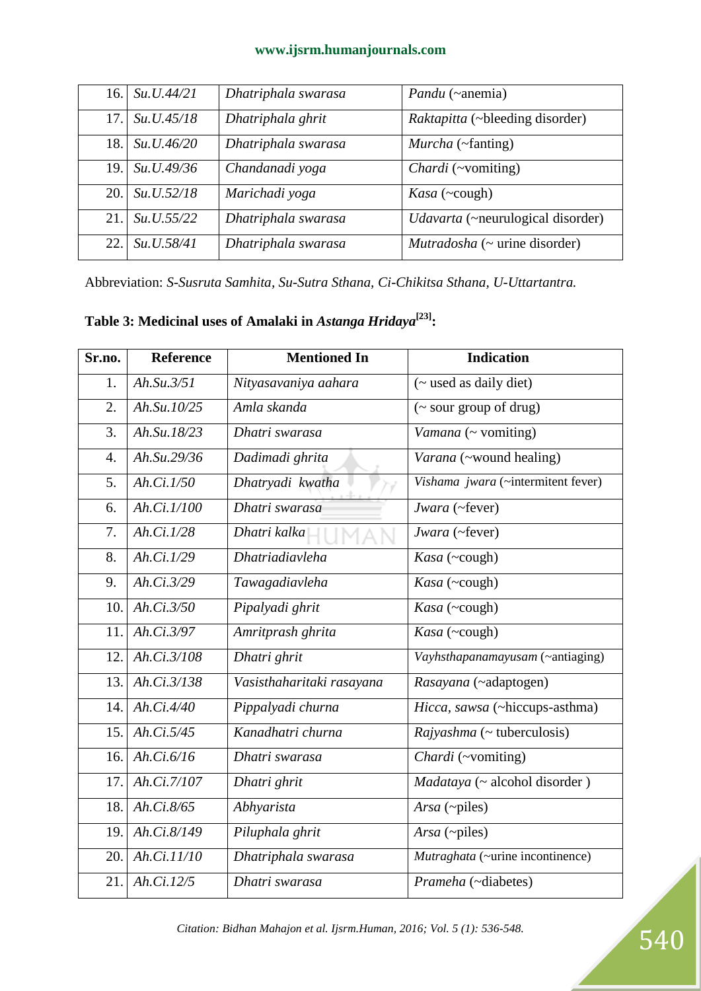| 16. | Su.U.44/21   | Dhatriphala swarasa | <i>Pandu</i> (~anemia)                 |
|-----|--------------|---------------------|----------------------------------------|
| 17. | Su. U.45/18  | Dhatriphala ghrit   | <i>Raktapitta</i> (~bleeding disorder) |
| 18. | Su. U.46/20  | Dhatriphala swarasa | Murcha (~fanting)                      |
| 19. | Su. U.49/36  | Chandanadi yoga     | Chardi (~vomiting)                     |
| 20. | Su. U. 52/18 | Marichadi yoga      | <i>Kasa</i> ( $\sim$ cough)            |
| 21  | Su. U. 55/22 | Dhatriphala swarasa | Udavarta (~neurulogical disorder)      |
| 22. | Su.U.58/41   | Dhatriphala swarasa | $Mutradosha$ ( $\sim$ urine disorder)  |

Abbreviation: *S-Susruta Samhita, Su-Sutra Sthana, Ci-Chikitsa Sthana, U-Uttartantra.* 

**Table 3: Medicinal uses of Amalaki in** *Astanga Hridaya***[23]:**

| Sr.no.           | <b>Reference</b>        | <b>Mentioned In</b>       | <b>Indication</b>                  |
|------------------|-------------------------|---------------------------|------------------------------------|
| 1.               | Ah.Su.3/51              | Nityasavaniya aahara      | (~ used as daily diet)             |
| 2.               | Ah.Su.10/25             | Amla skanda               | (~ sour group of drug)             |
| 3.               | Ah.Su.18/23             | Dhatri swarasa            | Vamana (~ vomiting)                |
| $\overline{4}$ . | Ah.Su.29/36             | Dadimadi ghrita           | Varana (~wound healing)            |
| 5.               | $\overline{Ah.Ci.I/50}$ | Dhatryadi kwatha          | Vishama jwara (~intermitent fever) |
| 6.               | Ah.Ci.1/100             | Dhatri swarasa            | Jwara (~fever)                     |
| 7.               | Ah.Ci.1/28              | Dhatri kalka              | Jwara (~fever)                     |
| 8.               | Ah.Ci.1/29              | <b>Dhatriadiavleha</b>    | Kasa (~cough)                      |
| 9.               | Ah.Ci.3/29              | Tawagadiavleha            | Kasa (~cough)                      |
| 10.              | Ah.Ci.3/50              | Pipalyadi ghrit           | Kasa (~cough)                      |
| 11.              | Ah.Ci.3/97              | Amritprash ghrita         | Kasa (~cough)                      |
| 12.              | Ah.Ci.3/108             | Dhatri ghrit              | Vayhsthapanamayusam (~antiaging)   |
| 13.              | Ah.Ci.3/138             | Vasisthaharitaki rasayana | Rasayana (~adaptogen)              |
| 14.              | Ah.Ci.4/40              | Pippalyadi churna         | Hicca, sawsa (~hiccups-asthma)     |
| 15.              | Ah.Ci.5/45              | Kanadhatri churna         | $Rajyashma$ (~ tuberculosis)       |
| 16.              | Ah.Ci. $6/16$           | Dhatri swarasa            | Chardi (~vomiting)                 |
| 17.              | Ah.Ci.7/107             | Dhatri ghrit              | Madataya (~ alcohol disorder)      |
| 18.              | Ah.Ci.8/65              | Abhyarista                | Arsa (~piles)                      |
| 19.              | Ah.Ci.8/149             | Piluphala ghrit           | Arsa (~piles)                      |
| 20.              | Ah. Ci.11/10            | Dhatriphala swarasa       | Mutraghata (~urine incontinence)   |
| 21.              | Ah.Ci.12/5              | Dhatri swarasa            | Prameha (~diabetes)                |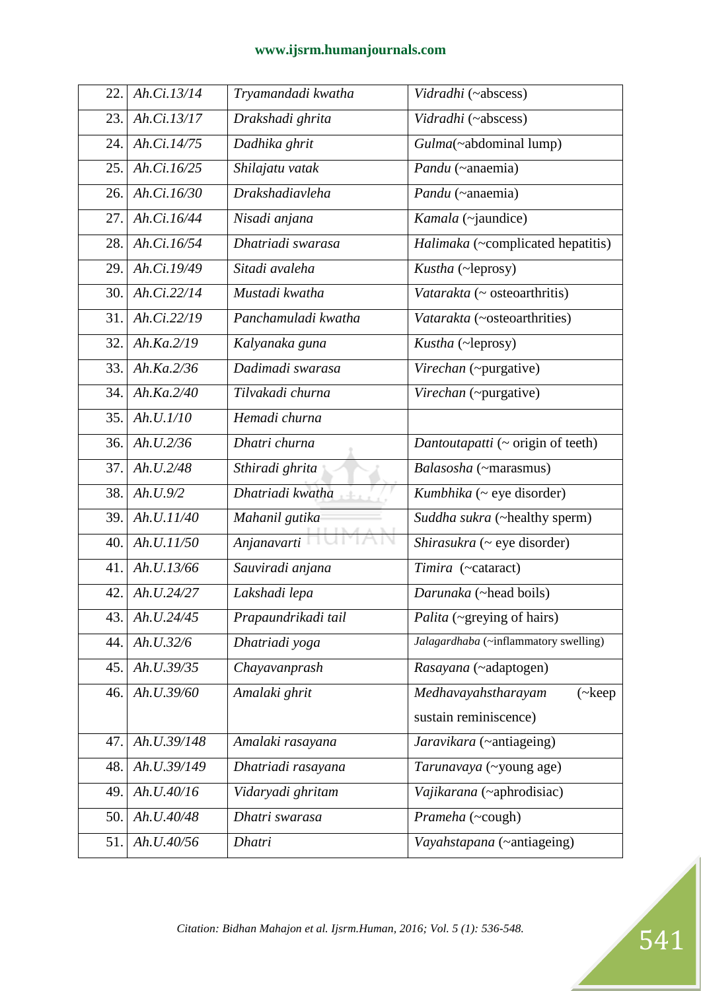| 22. | Ah.Ci.13/14 | Tryamandadi kwatha     | Vidradhi (~abscess)                         |
|-----|-------------|------------------------|---------------------------------------------|
| 23. | Ah.Ci.13/17 | Drakshadi ghrita       | Vidradhi (~abscess)                         |
| 24. | Ah.Ci.14/75 | Dadhika ghrit          | Gulma(~abdominal lump)                      |
| 25. | Ah.Ci.16/25 | Shilajatu vatak        | Pandu (~anaemia)                            |
| 26. | Ah.Ci.16/30 | <b>Drakshadiavleha</b> | Pandu (~anaemia)                            |
| 27. | Ah.Ci.16/44 | Nisadi anjana          | Kamala (~jaundice)                          |
| 28. | Ah.Ci.16/54 | Dhatriadi swarasa      | Halimaka (~complicated hepatitis)           |
| 29. | Ah.Ci.19/49 | Sitadi avaleha         | Kustha (~leprosy)                           |
| 30. | Ah.Ci.22/14 | Mustadi kwatha         | Vatarakta (~ osteoarthritis)                |
| 31. | Ah.Ci.22/19 | Panchamuladi kwatha    | Vatarakta (~osteoarthrities)                |
| 32. | Ah.Ka.2/19  | Kalyanaka guna         | Kustha (~leprosy)                           |
| 33. | Ah.Ka.2/36  | Dadimadi swarasa       | Virechan (~purgative)                       |
| 34. | Ah.Ka.2/40  | Tilvakadi churna       | Virechan (~purgative)                       |
| 35. | Ah.U.I/10   | Hemadi churna          |                                             |
| 36. | Ah.U.2/36   | Dhatri churna          | Dantoutapatti (~ origin of teeth)           |
| 37. | Ah.U.2/48   | Sthiradi ghrita        | Balasosha (~marasmus)                       |
| 38. | Ah. U. 9/2  | Dhatriadi kwatha       | Kumbhika (~ eye disorder)                   |
| 39. | Ah.U.11/40  | Mahanil gutika         | Suddha sukra (~healthy sperm)               |
| 40. | Ah.U.11/50  | Anjanavarti            | Shirasukra (~ eye disorder)                 |
| 41. | Ah.U.13/66  | Sauviradi anjana       | Timira (~cataract)                          |
| 42. | Ah.U.24/27  | Lakshadi lepa          | Darunaka (~head boils)                      |
| 43. | Ah.U.24/45  | Prapaundrikadi tail    | Palita (~greying of hairs)                  |
| 44. | Ah.U.32/6   | Dhatriadi yoga         | Jalagardhaba (~inflammatory swelling)       |
| 45. | Ah.U.39/35  | Chayavanprash          | Rasayana (~adaptogen)                       |
| 46. | Ah.U.39/60  | Amalaki ghrit          | Medhavayahstharayam<br>$(\neg \text{keep }$ |
|     |             |                        | sustain reminiscence)                       |
| 47. | Ah.U.39/148 | Amalaki rasayana       | Jaravikara (~antiageing)                    |
| 48. | Ah.U.39/149 | Dhatriadi rasayana     | Tarunavaya (~young age)                     |
| 49. | Ah.U.40/16  | Vidaryadi ghritam      | Vajikarana (~aphrodisiac)                   |
| 50. | Ah.U.40/48  | Dhatri swarasa         | Prameha (~cough)                            |
| 51. | Ah.U.40/56  | <b>Dhatri</b>          | Vayahstapana (~antiageing)                  |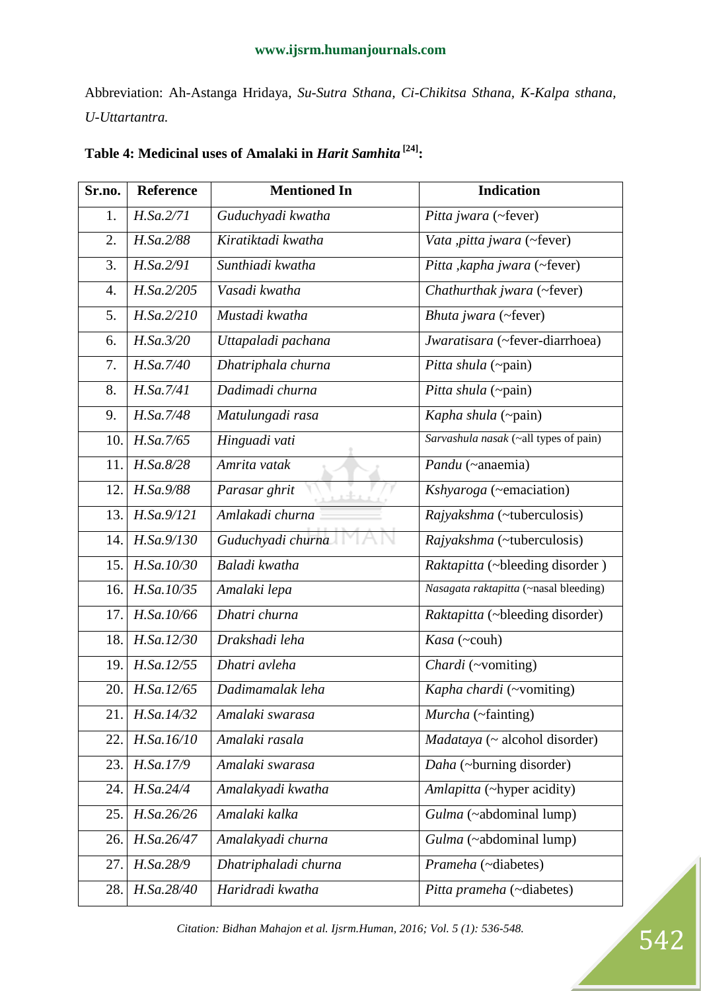Abbreviation: Ah-Astanga Hridaya, *Su-Sutra Sthana, Ci-Chikitsa Sthana, K-Kalpa sthana, U-Uttartantra.* 

| Sr.no.           | <b>Reference</b> | <b>Mentioned In</b>  | <b>Indication</b>                     |
|------------------|------------------|----------------------|---------------------------------------|
| 1.               | H.Sa.2/71        | Guduchyadi kwatha    | Pitta jwara (~fever)                  |
| 2.               | H.Sa.2/88        | Kiratiktadi kwatha   | Vata , pitta jwara (~fever)           |
| 3.               | H.Sa.2/91        | Sunthiadi kwatha     | Pitta , kapha jwara (~fever)          |
| $\overline{4}$ . | H.Sa.2/205       | Vasadi kwatha        | Chathurthak jwara (~fever)            |
| 5.               | H.Sa.2/210       | Mustadi kwatha       | Bhuta jwara (~fever)                  |
| 6.               | H.Sa.3/20        | Uttapaladi pachana   | Jwaratisara (~fever-diarrhoea)        |
| 7.               | H.Sa.7/40        | Dhatriphala churna   | Pitta shula (~pain)                   |
| 8.               | H.Sa.7/41        | Dadimadi churna      | Pitta shula (~pain)                   |
| 9.               | H.Sa.7/48        | Matulungadi rasa     | Kapha shula (~pain)                   |
| 10.              | H.Sa.7/65        | Hinguadi vati        | Sarvashula nasak (~all types of pain) |
| 11.              | H.Sa.8/28        | Amrita vatak         | Pandu (~anaemia)                      |
| 12.              | H.Sa.9/88        | Parasar ghrit        | Kshyaroga (~emaciation)               |
| 13.              | H.Sa.9/121       | Amlakadi churna      | Rajyakshma (~tuberculosis)            |
| 14.              | H.Sa.9/130       | Guduchyadi churna    | Rajyakshma (~tuberculosis)            |
| 15.              | H.Sa.10/30       | Baladi kwatha        | Raktapitta (~bleeding disorder)       |
| 16.              | H.Sa.10/35       | Amalaki lepa         | Nasagata raktapitta (~nasal bleeding) |
| 17.              | H.Sa.10/66       | Dhatri churna        | Raktapitta (~bleeding disorder)       |
| 18.              | H.Sa.12/30       | Drakshadi leha       | Kasa (~couh)                          |
| 19.              | H.Sa.12/55       | Dhatri avleha        | Chardi (~vomiting)                    |
| 20.              | H.Sa.12/65       | Dadimamalak leha     | Kapha chardi (~vomiting)              |
| 21.              | H.Sa.14/32       | Amalaki swarasa      | Murcha (~fainting)                    |
| 22.              | H.Sa.16/10       | Amalaki rasala       | Madataya (~ alcohol disorder)         |
| 23.              | H.Sa.17/9        | Amalaki swarasa      | Daha (~burning disorder)              |
| 24.              | H.Sa.24/4        | Amalakyadi kwatha    | Amlapitta (~hyper acidity)            |
| 25.              | H.Sa.26/26       | Amalaki kalka        | Gulma (~abdominal lump)               |
| 26.              | H.Sa.26/47       | Amalakyadi churna    | Gulma (~abdominal lump)               |
| 27.              | H.Sa.28/9        | Dhatriphaladi churna | Prameha (~diabetes)                   |
| 28.              | H.Sa.28/40       | Haridradi kwatha     | Pitta prameha (~diabetes)             |

# **Table 4: Medicinal uses of Amalaki in** *Harit Samhita* **[24]:**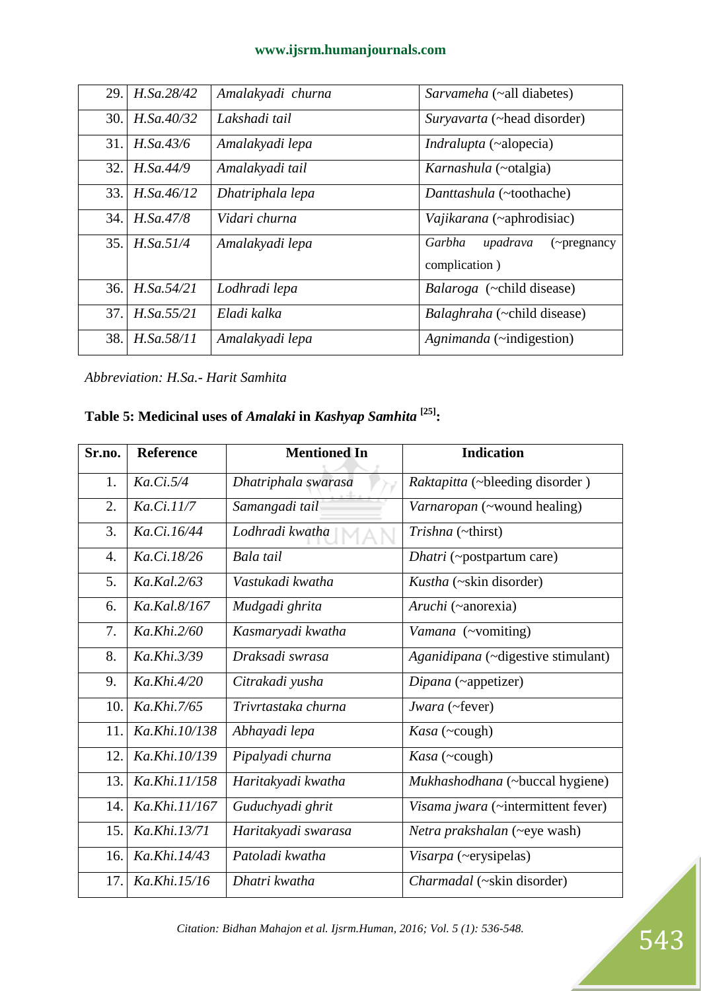| 29. | H.Sa.28/42 | Amalakyadi churna | Sarvameha (~all diabetes)                           |
|-----|------------|-------------------|-----------------------------------------------------|
| 30. | H.Sa.40/32 | Lakshadi tail     | Survavarta (~head disorder)                         |
| 31. | H.Sa.43/6  | Amalakyadi lepa   | <i>Indralupta</i> (~alopecia)                       |
| 32. | H.Sa.44/9  | Amalakyadi tail   | <i>Karnashula</i> (~otalgia)                        |
| 33. | H.Sa.46/12 | Dhatriphala lepa  | Danttashula (~toothache)                            |
| 34. | H.Sa.47/8  | Vidari churna     | Vajikarana (~aphrodisiac)                           |
| 35. | H.Sa.51/4  | Amalakyadi lepa   | Garbha<br>upadrava<br>$\left(\sim\right)$ pregnancy |
|     |            |                   | complication)                                       |
| 36. | H.Sa.54/21 | Lodhradi lepa     | Balaroga (~child disease)                           |
| 37. | H.Sa.55/21 | Eladi kalka       | <i>Balaghraha</i> (~child disease)                  |
| 38. | H.Sa.58/11 | Amalakyadi lepa   | Agnimanda (~indigestion)                            |

*Abbreviation: H.Sa.- Harit Samhita*

# **Table 5: Medicinal uses of** *Amalaki* **in** *Kashyap Samhita* **[25]:**

| Sr.no.           | Reference       | <b>Mentioned In</b> | <b>Indication</b>                  |
|------------------|-----------------|---------------------|------------------------------------|
| 1.               | Ka.Ci.5/4       | Dhatriphala swarasa | Raktapitta (~bleeding disorder)    |
| 2.               | Ka.Ci.11/7      | Samangadi tail      | Varnaropan (~wound healing)        |
| 3.               | Ka.Ci.16/44     | Lodhradi kwatha     | Trishna (~thirst)                  |
| $\overline{4}$ . | Ka.Ci.18/26     | Bala tail           | <i>Dhatri</i> (~postpartum care)   |
| 5.               | Ka.Kal.2/63     | Vastukadi kwatha    | Kustha (~skin disorder)            |
| 6.               | Ka.Kal.8/167    | Mudgadi ghrita      | Aruchi (~anorexia)                 |
| 7.               | Ka.Khi.2/60     | Kasmaryadi kwatha   | Vamana (~vomiting)                 |
| 8.               | Ka.Khi.3/39     | Draksadi swrasa     | Aganidipana (~digestive stimulant) |
| 9.               | Ka.Khi.4/20     | Citrakadi yusha     | Dipana (~appetizer)                |
| 10.              | Ka.Khi.7/65     | Trivrtastaka churna | Jwara (~fever)                     |
| 11.              | Ka, Khi, 10/138 | Abhayadi lepa       | Kasa (~cough)                      |
| 12.              | Ka.Khi.10/139   | Pipalyadi churna    | Kasa (~cough)                      |
| 13.              | Ka.Khi.11/158   | Haritakyadi kwatha  | Mukhashodhana (~buccal hygiene)    |
| 14.              | Ka.Khi.11/167   | Guduchyadi ghrit    | Visama jwara (~intermittent fever) |
| 15.              | Ka.Khi.13/71    | Haritakyadi swarasa | Netra prakshalan (~eye wash)       |
| 16.              | Ka.Khi.14/43    | Patoladi kwatha     | Visarpa (~erysipelas)              |
| 17.              | Ka.Khi.15/16    | Dhatri kwatha       | Charmadal (~skin disorder)         |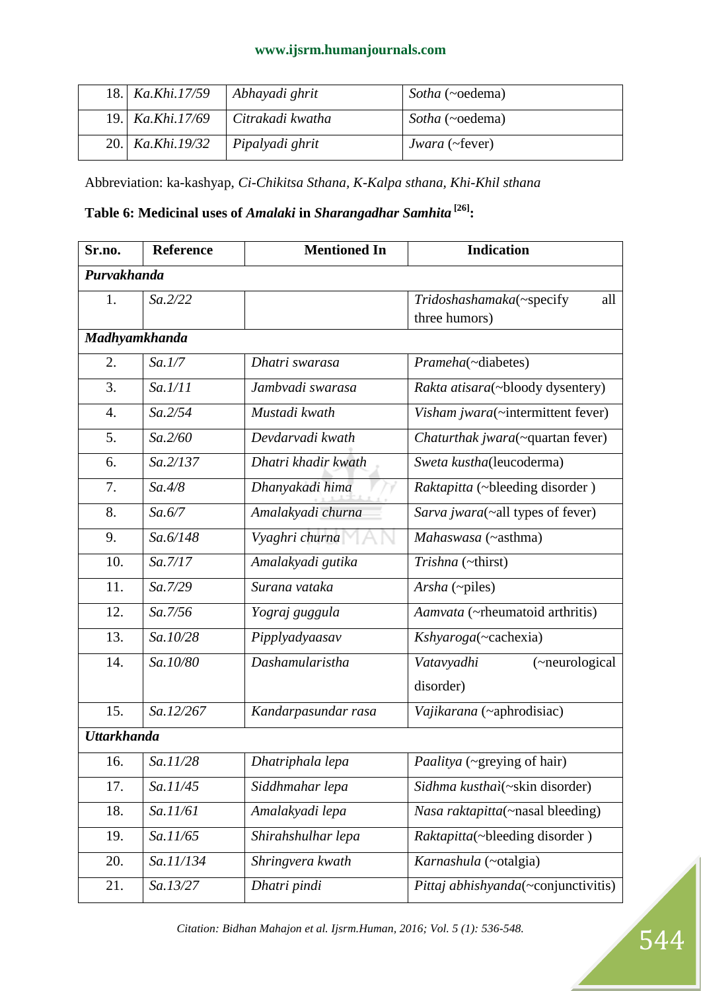| 18. Ka.Khi.17/59 Abhayadi ghrit |                                       | Sotha (~oedema)              |
|---------------------------------|---------------------------------------|------------------------------|
|                                 | 19.   Ka.Khi.17/69   Citrakadi kwatha | Sotha (~oedema)              |
| 20.   <i>Ka.Khi.19/32</i>       | Pipalyadi ghrit                       | <i>Jwara</i> ( $\sim$ fever) |

Abbreviation: ka-kashyap, *Ci-Chikitsa Sthana, K-Kalpa sthana, Khi-Khil sthana*

# **Table 6: Medicinal uses of** *Amalaki* **in** *Sharangadhar Samhita* **[26]:**

| Sr.no.             | <b>Reference</b> | <b>Mentioned In</b> | <b>Indication</b>                   |
|--------------------|------------------|---------------------|-------------------------------------|
| Purvakhanda        |                  |                     |                                     |
| 1.                 | Sa.2/22          |                     | Tridoshashamaka(~specify<br>all     |
|                    |                  |                     | three humors)                       |
| Madhyamkhanda      |                  |                     |                                     |
| 2.                 | Sa.1/7           | Dhatri swarasa      | Prameha(~diabetes)                  |
| 3.                 | Sa.1/11          | Jambvadi swarasa    | Rakta atisara(~bloody dysentery)    |
| $\overline{4}$ .   | Sa.2/54          | Mustadi kwath       | Visham jwara(~intermittent fever)   |
| 5.                 | Sa.2/60          | Devdarvadi kwath    | Chaturthak jwara(~quartan fever)    |
| 6.                 | Sa.2/137         | Dhatri khadir kwath | Sweta kustha(leucoderma)            |
| 7.                 | Sa.4/8           | Dhanyakadi hima     | Raktapitta (~bleeding disorder)     |
| 8.                 | Sa.6/7           | Amalakyadi churna   | Sarva jwara(~all types of fever)    |
| 9.                 | Sa.6/148         | Vyaghri churna      | Mahaswasa (~asthma)                 |
| 10.                | Sa.7/17          | Amalakyadi gutika   | Trishna (~thirst)                   |
| 11.                | Sa.7/29          | Surana vataka       | Arsha (~piles)                      |
| 12.                | Sa.7/56          | Yograj guggula      | Aamvata (~rheumatoid arthritis)     |
| 13.                | Sa.10/28         | Pipplyadyaasav      | Kshyaroga(~cachexia)                |
| 14.                | Sa.10/80         | Dashamularistha     | Vatavyadhi<br>(~neurological        |
|                    |                  |                     | disorder)                           |
| 15.                | Sa.12/267        | Kandarpasundar rasa | Vajikarana (~aphrodisiac)           |
| <b>Uttarkhanda</b> |                  |                     |                                     |
| 16.                | Sa.11/28         | Dhatriphala lepa    | Paalitya (~greying of hair)         |
| 17.                | Sa.11/45         | Siddhmahar lepa     | Sidhma kusthaì(~skin disorder)      |
| 18.                | Sa.11/61         | Amalakyadi lepa     | Nasa raktapitta(~nasal bleeding)    |
| 19.                | Sa.11/65         | Shirahshulhar lepa  | Raktapitta(~bleeding disorder)      |
| 20.                | Sa.11/134        | Shringvera kwath    | Karnashula (~otalgia)               |
| 21.                | Sa.13/27         | Dhatri pindi        | Pittaj abhishyanda(~conjunctivitis) |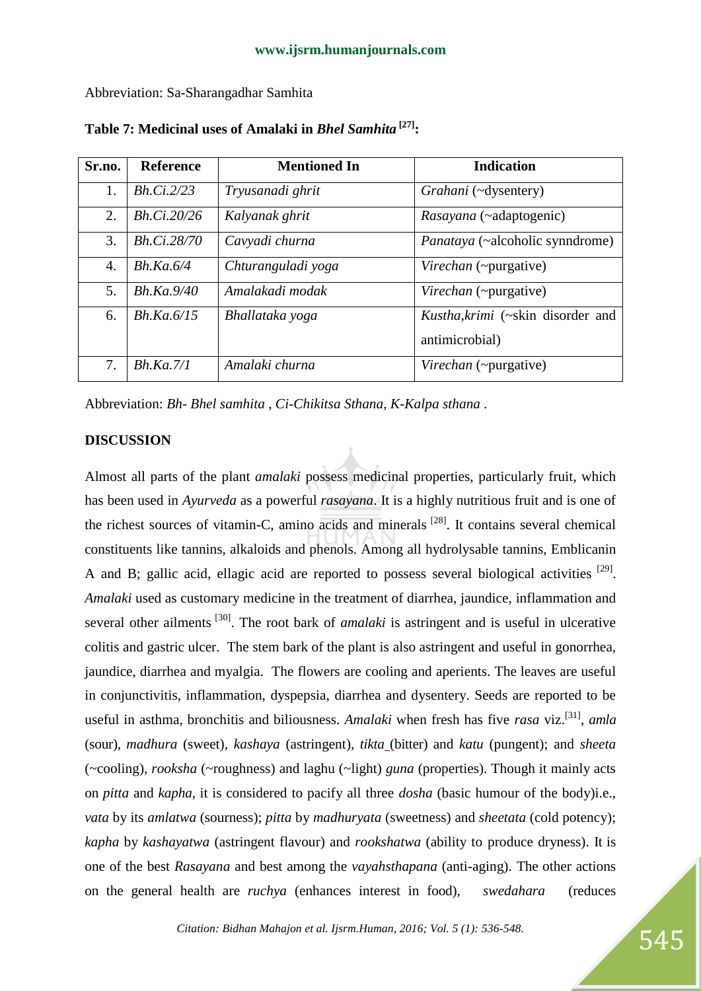Abbreviation: Sa-Sharangadhar Samhita

| Sr.no. | <b>Reference</b>     | <b>Mentioned In</b> | <b>Indication</b>                 |
|--------|----------------------|---------------------|-----------------------------------|
| 1.     | Bh.Ci.2/23           | Tryusanadi ghrit    | Grahani (~dysentery)              |
| 2.     | Bh.Ci.20/26          | Kalyanak ghrit      | Rasayana (~adaptogenic)           |
| 3.     | Bh.Ci.28/70          | Cavyadi churna      | Panataya (~alcoholic synndrome)   |
| 4.     | $Bh$ .Ka.6/4         | Chturanguladi yoga  | Virechan (~purgative)             |
| 5.     | $Bh$ . $Ka$ . $9/40$ | Amalakadi modak     | Virechan (~purgative)             |
| 6.     | $Bh$ .Ka. $6/15$     | Bhallataka yoga     | Kustha, krimi (~skin disorder and |
|        |                      |                     | antimicrobial)                    |
| 7.     | $Bh$ .Ka. $7/1$      | Amalaki churna      | Virechan (~purgative)             |

**Table 7: Medicinal uses of Amalaki in** *Bhel Samhita* **[27] :**

Abbreviation: *Bh- Bhel samhita* , *Ci-Chikitsa Sthana, K-Kalpa sthana .*

## **DISCUSSION**

Almost all parts of the plant *amalaki* possess medicinal properties, particularly fruit, which has been used in *Ayurveda* as a powerful *rasayana*. It is a highly nutritious fruit and is one of the richest sources of vitamin-C, amino acids and minerals  $^{[28]}$ . It contains several chemical constituents like tannins, alkaloids and phenols. Among all hydrolysable tannins, Emblicanin A and B; gallic acid, ellagic acid are reported to possess several biological activities  $[29]$ . *Amalaki* used as customary medicine in the treatment of diarrhea, jaundice, inflammation and several other ailments<sup>[30]</sup>. The root bark of *amalaki* is astringent and is useful in ulcerative colitis and gastric ulcer. The stem bark of the plant is also astringent and useful in gonorrhea, jaundice, diarrhea and myalgia. The flowers are cooling and aperients. The leaves are useful in conjunctivitis, inflammation, dyspepsia, diarrhea and dysentery. Seeds are reported to be useful in asthma, bronchitis and biliousness. *Amalaki* when fresh has five *rasa* viz.[31] , *amla* (sour)*, madhura* (sweet)*, kashaya* (astringent)*, tikta* (bitter) and *katu* (pungent); and *sheeta* (~cooling), *rooksha* (~roughness) and laghu (~light) *guna* (properties). Though it mainly acts on *pitta* and *kapha*, it is considered to pacify all three *dosha* (basic humour of the body)i.e., *vata* by its *amlatwa* (sourness); *pitta* by *madhuryata* (sweetness) and *sheetata* (cold potency); *kapha* by *kashayatwa* (astringent flavour) and *rookshatwa* (ability to produce dryness). It is one of the best *Rasayana* and best among the *vayahsthapana* (anti-aging). The other actions on the general health are *ruchya* (enhances interest in food), *swedahara* (reduces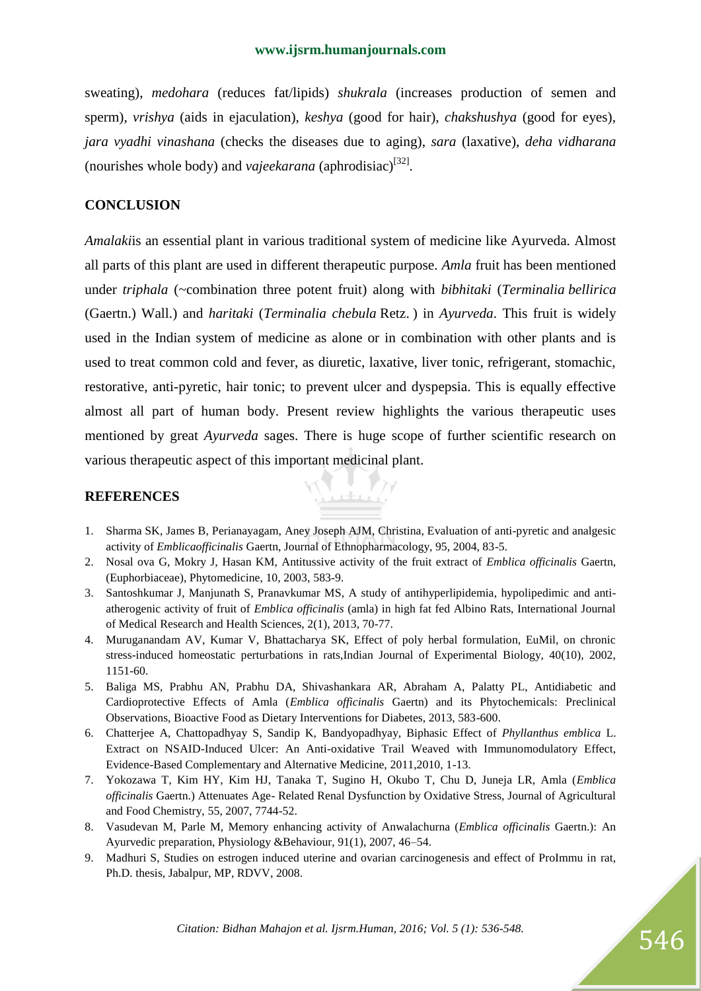sweating), *medohara* (reduces fat/lipids) *shukrala* (increases production of semen and sperm), *vrishya* (aids in ejaculation), *keshya* (good for hair), *chakshushya* (good for eyes), *jara vyadhi vinashana* (checks the diseases due to aging), *sara* (laxative), *deha vidharana* (nourishes whole body) and *vajeekarana* (aphrodisiac)<sup>[32]</sup>.

#### **CONCLUSION**

*Amalaki*is an essential plant in various traditional system of medicine like Ayurveda. Almost all parts of this plant are used in different therapeutic purpose. *Amla* fruit has been mentioned under *triphala* (~combination three potent fruit) along with *bibhitaki* (*Terminalia bellirica* (Gaertn.) Wall.) and *haritaki* (*Terminalia chebula* Retz. ) in *Ayurveda*. This fruit is widely used in the Indian system of medicine as alone or in combination with other plants and is used to treat common cold and fever, as diuretic, laxative, liver tonic, refrigerant, stomachic, restorative, anti-pyretic, hair tonic; to prevent ulcer and dyspepsia. This is equally effective almost all part of human body. Present review highlights the various therapeutic uses mentioned by great *Ayurveda* sages. There is huge scope of further scientific research on various therapeutic aspect of this important medicinal plant.

#### **REFERENCES**

1. Sharma SK, James B, Perianayagam, Aney Joseph AJM, Christina, Evaluation of anti-pyretic and analgesic activity of *Emblicaofficinalis* Gaertn, Journal of Ethnopharmacology, 95, 2004, 83-5.

<u> Parke</u>

- 2. Nosal ova G, Mokry J, Hasan KM, Antitussive activity of the fruit extract of *Emblica officinalis* Gaertn, (Euphorbiaceae), Phytomedicine, 10, 2003, 583-9.
- 3. Santoshkumar J, Manjunath S, Pranavkumar MS, A study of antihyperlipidemia, hypolipedimic and antiatherogenic activity of fruit of *Emblica officinalis* (amla) in high fat fed Albino Rats, International Journal of Medical Research and Health Sciences, 2(1), 2013, 70-77.
- 4. Muruganandam AV, Kumar V, Bhattacharya SK, Effect of poly herbal formulation, EuMil, on chronic stress-induced homeostatic perturbations in rats,Indian Journal of Experimental Biology, 40(10), 2002, 1151-60.
- 5. Baliga MS, Prabhu AN, Prabhu DA, Shivashankara AR, Abraham A, Palatty PL, Antidiabetic and Cardioprotective Effects of Amla (*Emblica officinalis* Gaertn) and its Phytochemicals: Preclinical Observations, Bioactive Food as Dietary Interventions for Diabetes, 2013, 583-600.
- 6. Chatterjee A, Chattopadhyay S, Sandip K, Bandyopadhyay, Biphasic Effect of *Phyllanthus emblica* L. Extract on NSAID-Induced Ulcer: An Anti-oxidative Trail Weaved with Immunomodulatory Effect, Evidence-Based Complementary and Alternative Medicine, 2011,2010, 1-13.
- 7. Yokozawa T, Kim HY, Kim HJ, Tanaka T, Sugino H, Okubo T, Chu D, Juneja LR, Amla (*Emblica officinalis* Gaertn.) Attenuates Age- Related Renal Dysfunction by Oxidative Stress, Journal of Agricultural and Food Chemistry, 55, 2007, 7744-52.
- 8. Vasudevan M, Parle M, Memory enhancing activity of Anwalachurna (*Emblica officinalis* Gaertn.): An Ayurvedic preparation, Physiology &Behaviour, 91(1), 2007, 46–54.
- 9. Madhuri S, Studies on estrogen induced uterine and ovarian carcinogenesis and effect of ProImmu in rat, Ph.D. thesis, Jabalpur, MP, RDVV, 2008.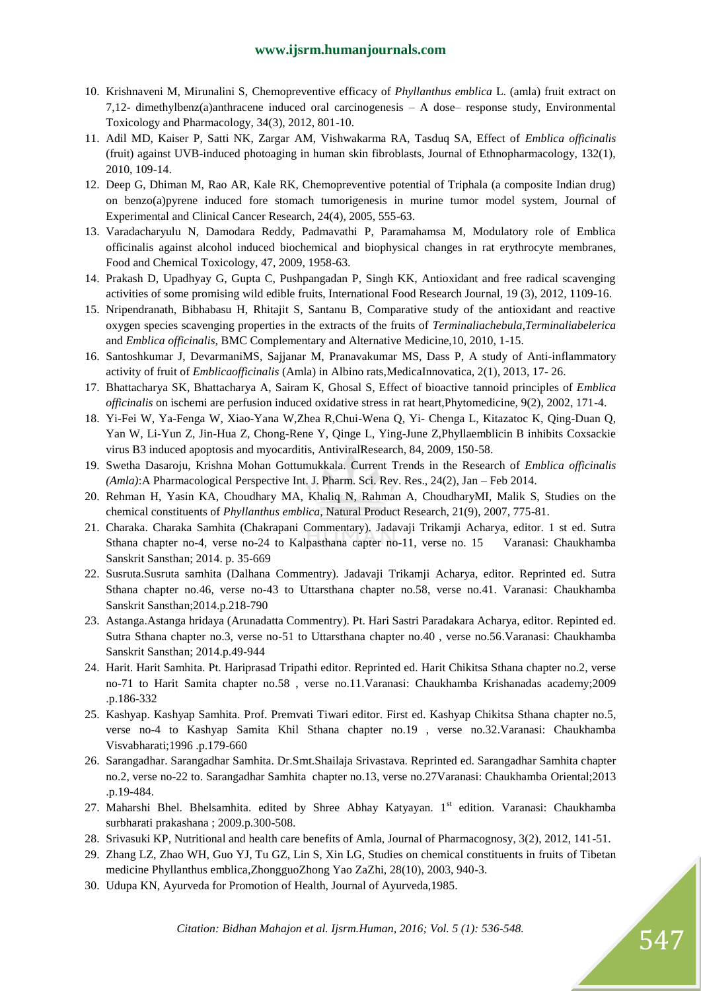- 10. Krishnaveni M, Mirunalini S, Chemopreventive efficacy of *Phyllanthus emblica* L. (amla) fruit extract on 7,12- dimethylbenz(a)anthracene induced oral carcinogenesis – A dose– response study, Environmental Toxicology and Pharmacology, 34(3), 2012, 801-10.
- 11. Adil MD, Kaiser P, Satti NK, Zargar AM, Vishwakarma RA, Tasduq SA, Effect of *Emblica officinalis* (fruit) against UVB-induced photoaging in human skin fibroblasts, Journal of Ethnopharmacology, 132(1), 2010, 109-14.
- 12. Deep G, Dhiman M, Rao AR, Kale RK, Chemopreventive potential of Triphala (a composite Indian drug) on benzo(a)pyrene induced fore stomach tumorigenesis in murine tumor model system, Journal of Experimental and Clinical Cancer Research, 24(4), 2005, 555-63.
- 13. Varadacharyulu N, Damodara Reddy, Padmavathi P, Paramahamsa M, Modulatory role of Emblica officinalis against alcohol induced biochemical and biophysical changes in rat erythrocyte membranes, Food and Chemical Toxicology, 47, 2009, 1958-63.
- 14. Prakash D, Upadhyay G, Gupta C, Pushpangadan P, Singh KK, Antioxidant and free radical scavenging activities of some promising wild edible fruits, International Food Research Journal, 19 (3), 2012, 1109-16.
- 15. Nripendranath, Bibhabasu H, Rhitajit S, Santanu B, Comparative study of the antioxidant and reactive oxygen species scavenging properties in the extracts of the fruits of *Terminaliachebula,Terminaliabelerica*  and *Emblica officinalis*, BMC Complementary and Alternative Medicine,10, 2010, 1-15.
- 16. Santoshkumar J, DevarmaniMS, Sajjanar M, Pranavakumar MS, Dass P, A study of Anti-inflammatory activity of fruit of *Emblicaofficinalis* (Amla) in Albino rats,MedicaInnovatica, 2(1), 2013, 17- 26.
- 17. Bhattacharya SK, Bhattacharya A, Sairam K, Ghosal S, Effect of bioactive tannoid principles of *Emblica officinalis* on ischemi are perfusion induced oxidative stress in rat heart,Phytomedicine, 9(2), 2002, 171-4.
- 18. Yi-Fei W, Ya-Fenga W, Xiao-Yana W,Zhea R,Chui-Wena Q, Yi- Chenga L, Kitazatoc K, Qing-Duan Q, Yan W, Li-Yun Z, Jin-Hua Z, Chong-Rene Y, Qinge L, Ying-June Z,Phyllaemblicin B inhibits Coxsackie virus B3 induced apoptosis and myocarditis, AntiviralResearch, 84, 2009, 150-58.
- 19. Swetha Dasaroju, Krishna Mohan Gottumukkala. Current Trends in the Research of *Emblica officinalis (Amla)*:A Pharmacological Perspective Int. J. Pharm. Sci. Rev. Res., 24(2), Jan – Feb 2014.
- 20. Rehman H, Yasin KA, Choudhary MA, Khaliq N, Rahman A, ChoudharyMI, Malik S, Studies on the chemical constituents of *Phyllanthus emblica,* Natural Product Research, 21(9), 2007, 775-81.
- 21. Charaka. Charaka Samhita (Chakrapani Commentary). Jadavaji Trikamji Acharya, editor. 1 st ed. Sutra Sthana chapter no-4, verse no-24 to Kalpasthana capter no-11, verse no. 15 Varanasi: Chaukhamba Sanskrit Sansthan; 2014. p. 35-669
- 22. Susruta.Susruta samhita (Dalhana Commentry). Jadavaji Trikamji Acharya, editor. Reprinted ed. Sutra Sthana chapter no.46, verse no-43 to Uttarsthana chapter no.58, verse no.41. Varanasi: Chaukhamba Sanskrit Sansthan;2014.p.218-790
- 23. Astanga.Astanga hridaya (Arunadatta Commentry). Pt. Hari Sastri Paradakara Acharya, editor. Repinted ed. Sutra Sthana chapter no.3, verse no-51 to Uttarsthana chapter no.40 , verse no.56.Varanasi: Chaukhamba Sanskrit Sansthan; 2014.p.49-944
- 24. Harit. Harit Samhita. Pt. Hariprasad Tripathi editor. Reprinted ed. Harit Chikitsa Sthana chapter no.2, verse no-71 to Harit Samita chapter no.58 , verse no.11.Varanasi: Chaukhamba Krishanadas academy;2009 .p.186-332
- 25. Kashyap. Kashyap Samhita. Prof. Premvati Tiwari editor. First ed. Kashyap Chikitsa Sthana chapter no.5, verse no-4 to Kashyap Samita Khil Sthana chapter no.19 , verse no.32.Varanasi: Chaukhamba Visvabharati;1996 .p.179-660
- 26. Sarangadhar. Sarangadhar Samhita. Dr.Smt.Shailaja Srivastava. Reprinted ed. Sarangadhar Samhita chapter no.2, verse no-22 to. Sarangadhar Samhita chapter no.13, verse no.27Varanasi: Chaukhamba Oriental;2013 .p.19-484.
- 27. Maharshi Bhel. Bhelsamhita. edited by Shree Abhay Katyayan. 1<sup>st</sup> edition. Varanasi: Chaukhamba surbharati prakashana ; 2009.p.300-508.
- 28. Srivasuki KP, Nutritional and health care benefits of Amla, Journal of Pharmacognosy, 3(2), 2012, 141-51.
- 29. Zhang LZ, Zhao WH, Guo YJ, Tu GZ, Lin S, Xin LG, Studies on chemical constituents in fruits of Tibetan medicine Phyllanthus emblica,ZhongguoZhong Yao ZaZhi, 28(10), 2003, 940-3.
- 30. Udupa KN, Ayurveda for Promotion of Health, Journal of Ayurveda,1985.